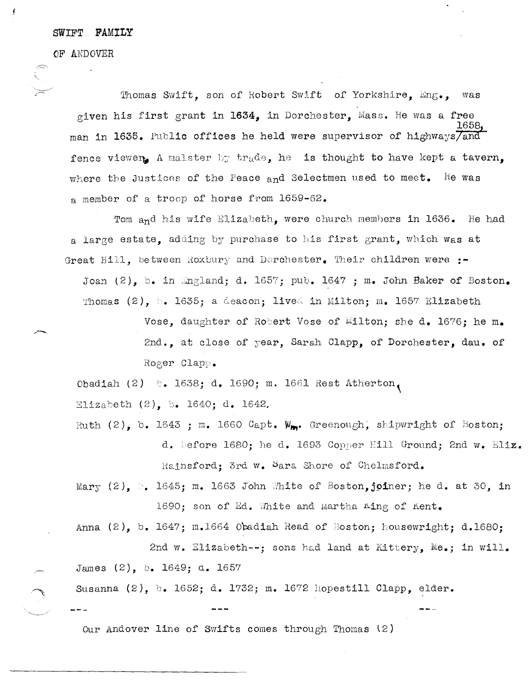## SWIFT FAMILY

OF ANDOVER

Thomas Swift, son of Robert Swift of Yorkshire, Eng., was given his first grant in 1634, in Dorchester, Mass. He was a free man in 1635. Public offices he held were supervisor of highways/and fence viewer. A malster by trade, he is thought to have kept a tavern. where the Justices of the Peace and Selectmen used to meet. He was a member of a troop of horse from 1659-62.

Tom and his wife Elizabeth, were church members in 1636. He had a large estate. adding by purchase to his first grant, which was at Great Hill, between Roxbury and Dorchester. Their children were :-Joan  $(2)$ , b. in England; d. 1657; pub. 1647; m. John Baker of Boston. Thomas (2), b. 1635; a deacon; lived in Milton; m. 1657 Elizabeth

> Vose, daughter of Robert Vose of Milton; she d. 1676; he m. 2nd., at close of year, Sarah Clapp, of Dorchester, dau. of Roger Clapp.

Obadiah (2) b. 1638; d. 1690; m. 1661 Rest Atherton, Elizabeth (2), b. 1640; d. 1642.

- Ruth  $(2)$ . b. 1643 ; m. 1660 Capt. W<sub>ro</sub>. Greenough, shipwright of Boston; d. before 1680; he d. 1693 Copper Hill Ground; 2nd w. Eliz. Rainsford: 3rd w. Sara Shore of Chelmsford.
- Mary (2).  $\mathbb{C}$ . 1645; m. 1663 John White of Boston.joiner; he d. at 30. in 1690; son of Ed. White and Martha Aing of Kent.

Anna  $(2)$ , b. 1647; m.1664 Obadiah Read of Boston; housewright; d.1680; 2nd w. Elizabeth --: sons had land at Kittery. Me.; in will.

James (2), b. 1649; d. 1657

Susanna (2), b. 1652; d. 1732; m. 1672 hopestill Clapp, elder.

Our Andover line of Swifts comes through Thomas (2)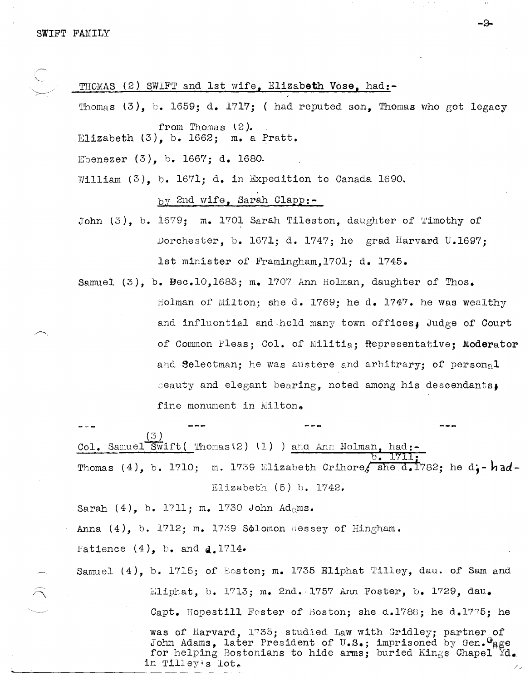| THOMAS (2) SWIFT and Ist wife, EI1Zabeth Vose, had:-                      |  |  |  |  |  |
|---------------------------------------------------------------------------|--|--|--|--|--|
| Thomas $(3)$ , b. 1659; d. 1717; ( had reputed son, Thomas who got legacy |  |  |  |  |  |
| from Thomas $(2)$ .<br>Elizabeth $(3)$ , b. 1662; m. a Pratt.             |  |  |  |  |  |
| Ebenezer $(3)$ , b. 1667; d. 1680.                                        |  |  |  |  |  |
| William $(3)$ , b. 1671; d. in Expedition to Canada 1690.                 |  |  |  |  |  |
| by 2nd wife, Sarah Clapp:-                                                |  |  |  |  |  |
| John (3), b. 1679; m. 1701 Sarah Tileston, daughter of Timothy of         |  |  |  |  |  |
| Dorchester, b. 1671; d. 1747; he grad Harvard U.1697;                     |  |  |  |  |  |
| 1st minister of Framingham, 1701; d. 1745.                                |  |  |  |  |  |
| Samuel (3), b. Bec.10,1683; m. 1707 Ann Holman, daughter of Thos.         |  |  |  |  |  |
| Holman of Milton; she d. 1769; he d. 1747. he was wealthy                 |  |  |  |  |  |
| and influential and held many town offices, Judge of Court                |  |  |  |  |  |
| of Common Pleas; Col. of Militia; Representative; Moderator               |  |  |  |  |  |
| and Selectman; he was austere and arbitrary; of personal                  |  |  |  |  |  |
|                                                                           |  |  |  |  |  |

-2

beauty and elegant bearing, noted among his descendants,

fine monument in Milton.

 $(3)$ Col. Samuel Swift ( Thomas (2) (1) ) and Ann Holman, had:-<u>I7II</u> b. Thomas (4), b. 1710; m. 1739 Elizabeth Crihore, she d. 1782; he d. - had-Elizabeth  $(5)$  b. 1742.

Sarah  $(4)$ , b. 1711; m. 1730 John Adams.

Anna  $(4)$ , b. 1712; m. 1739 Solomon Hessey of Hingham.

Patience  $(4)$ , b. and d.1714.

Samuel (4), b. 1715; of Boston; m. 1735 Eliphat Tilley, dau. of Sam and Eliphat, b. 1713; m. 2nd. 1757 Ann Foster, b. 1729, dau. Capt. Hopestill Foster of Boston; she d.1788; he d.1775; he

> was of Harvard, 1735; studied Law with Gridley; partner of John Adams, later President of U.S.; imprisoned by Gen. "age for helping Bostonians to hide arms; buried Kings Chapel  $\text{Yd}_{\bullet}$ in Tilley's lot.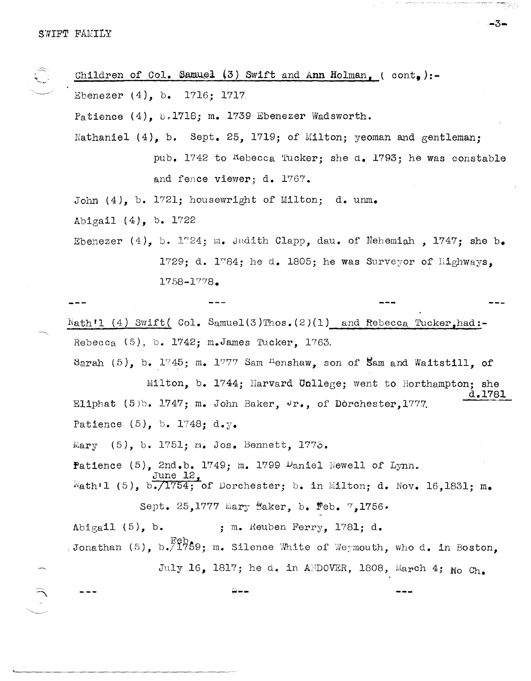|  | Children of Col. Samuel (3) Swift and Ann Holman, (cont,):-                       |                                                              |                                                                                              |        |
|--|-----------------------------------------------------------------------------------|--------------------------------------------------------------|----------------------------------------------------------------------------------------------|--------|
|  | Ebenezer $(4)$ , b. 1716; 1717                                                    |                                                              |                                                                                              |        |
|  | Patience $(4)$ , b.1718; m. 1739 Ebenezer Wadsworth.                              |                                                              |                                                                                              |        |
|  | Nathaniel (4), b. Sept. 25, 1719; of Milton; yeoman and gentleman;                |                                                              |                                                                                              |        |
|  |                                                                                   |                                                              | pub. 1742 to Kebecca Tucker; she d. 1793; he was constable                                   |        |
|  |                                                                                   | and fence viewer; d. 1767.                                   |                                                                                              |        |
|  |                                                                                   | John (4), b. 1721; housewright of Milton; d. unm.            |                                                                                              |        |
|  | Abigail $(4)$ , b. 1722                                                           |                                                              |                                                                                              |        |
|  |                                                                                   |                                                              | Ebenezer (4), b. 1724; m. Judith Clapp, dau. of Nehemiah, 1747; she b.                       |        |
|  | 1729; d. 1784; he d. 1805; he was Surveyor of Highways,                           |                                                              |                                                                                              |        |
|  |                                                                                   | $1758 - 1778$ .                                              |                                                                                              |        |
|  |                                                                                   |                                                              |                                                                                              |        |
|  | $Nath'1$ (4) Swift( Col. Samuel(3)Thos. (2)(1) and Rebecca Tucker, had:-          |                                                              |                                                                                              |        |
|  | Rebecca $(5)$ , b. 1742; m. James Tucker, 1763.                                   |                                                              |                                                                                              |        |
|  |                                                                                   |                                                              | Sarah $(5)$ , b. 1745; m. 1777 Sam <sup>n</sup> enshaw, son of Sam and Waitstill, of         |        |
|  |                                                                                   |                                                              | Milton, b. 1744; Harvard Unllege; went to Northampton; she                                   | d.1781 |
|  |                                                                                   | Eliphat (5)b. 1747; m. John Baker, Jr., of Dorchester, 1777. |                                                                                              |        |
|  | Patience $(5)$ , b. 1748; d.y.                                                    |                                                              |                                                                                              |        |
|  |                                                                                   | Mary (5), b. 1751; m. Jos. Bennett, 1775.                    |                                                                                              |        |
|  |                                                                                   | Patience $(5)$ , 2nd.b. 1749; m. 1799 Daniel Newell of Lynn. |                                                                                              |        |
|  | June 12,<br>Nath'l (5), b./1754; of Dorchester; b. in Milton; d. Nov. 16,1831; m. |                                                              |                                                                                              |        |
|  | Sept. 25,1777 mary Baker, b. Feb. 7,1756.                                         |                                                              |                                                                                              |        |
|  | Abigail $(5)$ , b.                                                                | ; m. Reuben Ferry, 1781; d.                                  |                                                                                              |        |
|  |                                                                                   |                                                              | Jonathan (5), b. $\frac{F_{\Theta}}{1759}$ ; m. Silence White of Weymouth, who d. in Boston, |        |
|  |                                                                                   |                                                              | July 16, 1817; he d. in ANDOVER, 1808, March 4; No Ch.                                       |        |
|  |                                                                                   |                                                              |                                                                                              |        |

**-3-**

30 statistica (19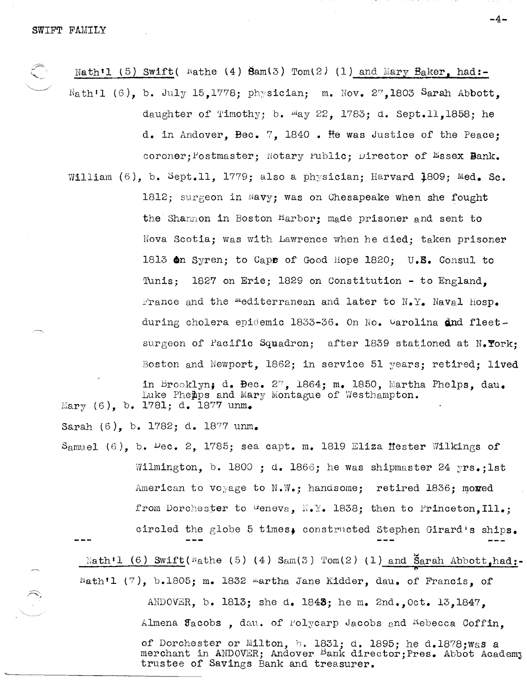Nath'l (5) Swift (  $N$ athe (4)  $\text{Sam}(3)$  Tom(2) (1) and Mary  $\text{Baker}_1$  had:- $N_{\text{at}}$  (6), b. July 15,1778; physician; m. Nov. 27,1803 Sarah Abbott, daughter of Timothy; b.  $May 22$ , 1783; d. Sept.ll.1858; he d. in Andover, Bec. 7, 1840 • He was Justice of the Peace; coroner: Postmaster: Notary Public: Director of Essex Bank. William (6), b. Sept.ll. 1779; also a physician: Harvard 1809: Med. Sc. 1812; surgeon in Navy; was on Chesapeake when she fought the Shannon in Boston Harbor; made prisoner and sent to Nova Scotia; was with Lawrence when be died; taken prisoner 1813 6n Syren; to Cape of Good Hope 1820; U.B. Consul to Tunis; 1827 on Erie; 1829 on Constitution - to England, France and the *"*"editerranean and later to N.Y. Naval hosp. during cholera epidemic  $1833-36$ . On No. Warolina dnd fleetsurgeon of Pacific Squadron; after 1839 stationed at N. York: Boston and Newport, 1862; in service 51 years; retired; lived in Brooklyn; d. Bec.  $2^{\gamma}$ , 1864; m. 1850, Martha Phelps, dau. Luke Pheibps and Mary Montague of Westhampton. Mary  $(6)$ , b. 1781; d. 1877 unm.

Sarah (6), b. 1782; d. 1877 unm. Samuel (6), b.  $P$ ec. 2, 1785; sea capt. m. 1819 Eliza Hester Wilkings of Wilmington, b. 1800 ; d. 1866; he was shipmaster 24  $yrs.$ ;lst American to voyage to  $N.W.$ ; handsome; retired 1836; mormed from Dorchester to Weneva,  $N_{\bullet}Y_{\bullet}$  1838; then to Princeton, Ill.; circled the globe 5 times. constructed Stephen Girard's ships. Nath'l (6) Swift(Wathe (5) (4) Sam(3) Tom(2) (1) and Sarah Abbott,had: Nath'l (7), b.1805; m. 1832 Martha Jane Kidder, dau. of Francis, of ANDOVER, b. 1813; she d. 1843; he m. 2nd., Oct. 13,1847, Almena Jacobs, dau. of Polycarp Jacobs and Kebecca Coffin, of Dorchester or Milton, b. 1831; d. 1895; he d.1878; was a merchant in ANDOVER; Andover Bank director; Pres. Abbot Academy trustee of Savings Bank and treasurer.

-4-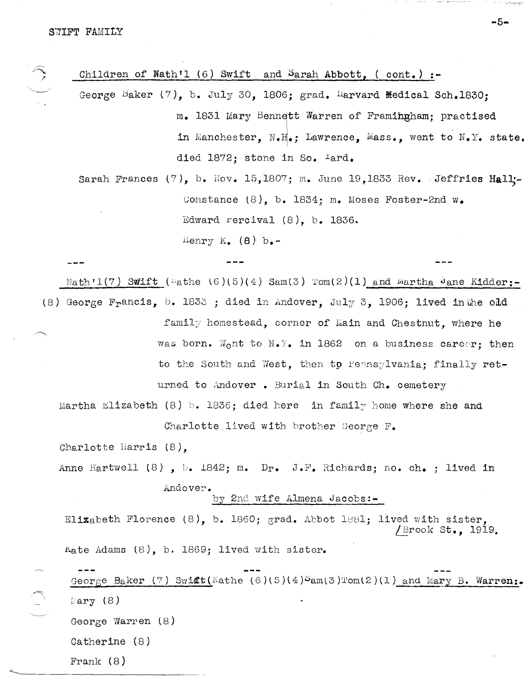Children of Nathfl (6) Swift and Sarah Abbott, ( cont.) **:-**

George Baker  $(7)$ , b. July 30, 1806; grad. Harvard Medical Sch.1830; m. 1831 Mary Bennett Warren of Framingham; practised in Manchester, N.H.; Lawrence, Mass., went to N.Y. state. died 1872; stone in So. Iard.

Sarah Frances (7), b. Nov. 15,1807; m. June 19,1833 Rev. Jeffries Hall:-Constance  $(8)$ , b. 1834; m. Moses Foster-2nd w. Edward rercival  $(8)$ , b. 1836. lienry K.  $(8)$  b.-

 $N$ ath<sup> $1$ </sup> ( $7$ ) Swift ( $\text{#}$ athe  $(6)(5)(4)$  Sam $(3)$  Tom $(2)(1)$  and  $\text{#}$ artha  $\text{#}$ ane Kidder: (8) George Francis, b. 1833 ; died in Andover, July 3, 1906; lived in the old family homestead, corner of Main and Chestnut, where he was born. Went to N. Y. in 1862 on a business career; then to the South and West, then to rennsylvania; finally returned to Andover. Burial in South Ch. cemetery Martha Elizabeth (8) b. 1836; died here in family home where she and Charlotte lived with brother George  $F_{\bullet}$ Charlotte liarris (8), Anne Hartwell (8), b. 1842; m. Dr. J.F. Richards; no. ch. ; lived in Andover. by 2nd wife Almena Jacobs:-Elizabeth Florence  $(8)$ , b. 1860; grad. Abbot 1881; lived with sister, /Brook St., 1919.  $k$ ate Adams (8), b. 1869; lived with sister. George Baker (7) Swift(Kathe (6)(5)(4) $\delta$ am(3)Tom(2)(1) and Mary B. Warren:.  $\mathbb{E}$ ary (8) George Warren (8)

Catherine (8)

Frank (8)

**-5-**